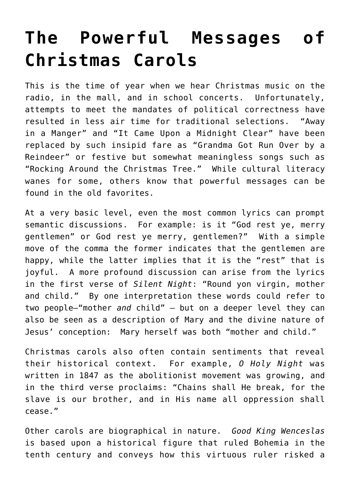## **[The Powerful Messages of](https://intellectualtakeout.org/2016/12/the-powerful-messages-of-christmas-carols/) [Christmas Carols](https://intellectualtakeout.org/2016/12/the-powerful-messages-of-christmas-carols/)**

This is the time of year when we hear Christmas music on the radio, in the mall, and in school concerts. Unfortunately, attempts to meet the mandates of political correctness have resulted in less air time for traditional selections. "Away in a Manger" and "It Came Upon a Midnight Clear" have been replaced by such insipid fare as "Grandma Got Run Over by a Reindeer" or festive but somewhat meaningless songs such as "Rocking Around the Christmas Tree." While cultural literacy wanes for some, others know that powerful messages can be found in the old favorites.

At a very basic level, even the most common lyrics can prompt semantic discussions. For example: is it "God rest ye, merry gentlemen" or God rest ye merry, gentlemen?" With a simple move of the comma the former indicates that the gentlemen are happy, while the latter implies that it is the "rest" that is joyful. A more profound discussion can arise from the lyrics in the first verse of *Silent Night*: "Round yon virgin, mother and child." By one interpretation these words could refer to two people—"mother *and* child" – but on a deeper level they can also be seen as a description of Mary and the divine nature of Jesus' conception: Mary herself was both "mother and child."

Christmas carols also often contain sentiments that reveal their historical context. For example, *O Holy Night* was written in 1847 as the abolitionist movement was growing, and in the third verse proclaims: "Chains shall He break, for the slave is our brother, and in His name all oppression shall cease."

Other carols are biographical in nature. *Good King Wenceslas* is based upon a historical figure that ruled Bohemia in the tenth century and conveys how this virtuous ruler risked a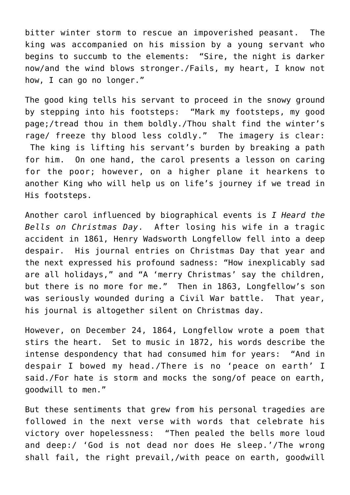bitter winter storm to rescue an impoverished peasant. The king was accompanied on his mission by a young servant who begins to succumb to the elements: "Sire, the night is darker now/and the wind blows stronger./Fails, my heart, I know not how, I can go no longer."

The good king tells his servant to proceed in the snowy ground by stepping into his footsteps: "Mark my footsteps, my good page;/tread thou in them boldly./Thou shalt find the winter's rage/ freeze thy blood less coldly." The imagery is clear: The king is lifting his servant's burden by breaking a path for him. On one hand, the carol presents a lesson on caring for the poor; however, on a higher plane it hearkens to another King who will help us on life's journey if we tread in His footsteps.

Another carol influenced by biographical events is *I Heard the Bells on Christmas Day*. After losing his wife in a tragic accident in 1861, Henry Wadsworth Longfellow fell into a deep despair. His journal entries on Christmas Day that year and the next expressed his profound sadness: "How inexplicably sad are all holidays," and "A 'merry Christmas' say the children, but there is no more for me." Then in 1863, Longfellow's son was seriously wounded during a Civil War battle. That year, his journal is altogether silent on Christmas day.

However, on December 24, 1864, Longfellow wrote a poem that stirs the heart. Set to music in 1872, his words describe the intense despondency that had consumed him for years: "And in despair I bowed my head./There is no 'peace on earth' I said./For hate is storm and mocks the song/of peace on earth, goodwill to men."

But these sentiments that grew from his personal tragedies are followed in the next verse with words that celebrate his victory over hopelessness: "Then pealed the bells more loud and deep:/ 'God is not dead nor does He sleep.'/The wrong shall fail, the right prevail,/with peace on earth, goodwill